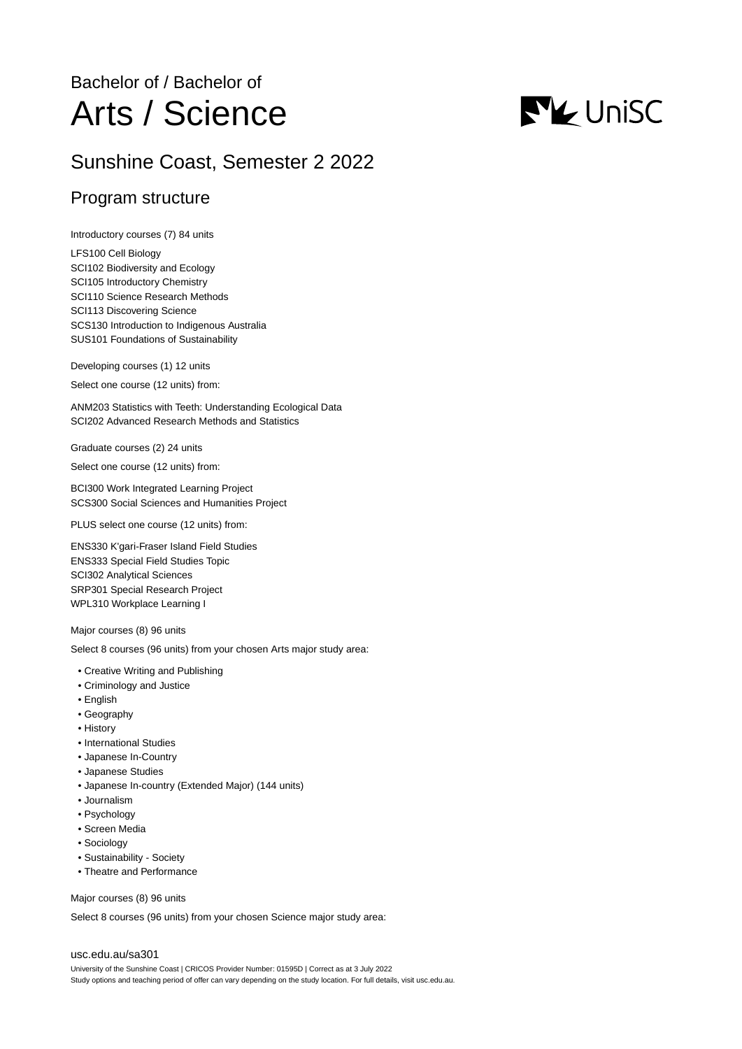## Bachelor of / Bachelor of Arts / Science

# **NV** UniSC

## Sunshine Coast, Semester 2 2022

## Program structure

Introductory courses (7) 84 units

LFS100 Cell Biology SCI102 Biodiversity and Ecology SCI105 Introductory Chemistry SCI110 Science Research Methods SCI113 Discovering Science SCS130 Introduction to Indigenous Australia SUS101 Foundations of Sustainability

Developing courses (1) 12 units

Select one course (12 units) from:

ANM203 Statistics with Teeth: Understanding Ecological Data SCI202 Advanced Research Methods and Statistics

Graduate courses (2) 24 units

Select one course (12 units) from:

BCI300 Work Integrated Learning Project SCS300 Social Sciences and Humanities Project

PLUS select one course (12 units) from:

ENS330 K'gari-Fraser Island Field Studies ENS333 Special Field Studies Topic SCI302 Analytical Sciences SRP301 Special Research Project WPL310 Workplace Learning I

Major courses (8) 96 units

Select 8 courses (96 units) from your chosen Arts major study area:

- Creative Writing and Publishing
- Criminology and Justice
- English
- Geography
- History
- International Studies
- Japanese In-Country
- Japanese Studies
- Japanese In-country (Extended Major) (144 units)
- Journalism
- Psychology
- Screen Media
- Sociology
- Sustainability Society
- Theatre and Performance

Major courses (8) 96 units

Select 8 courses (96 units) from your chosen Science major study area:

#### [usc.edu.au/sa301](https://www.usc.edu.au/sa301)

University of the Sunshine Coast | CRICOS Provider Number: 01595D | Correct as at 3 July 2022 Study options and teaching period of offer can vary depending on the study location. For full details, visit usc.edu.au.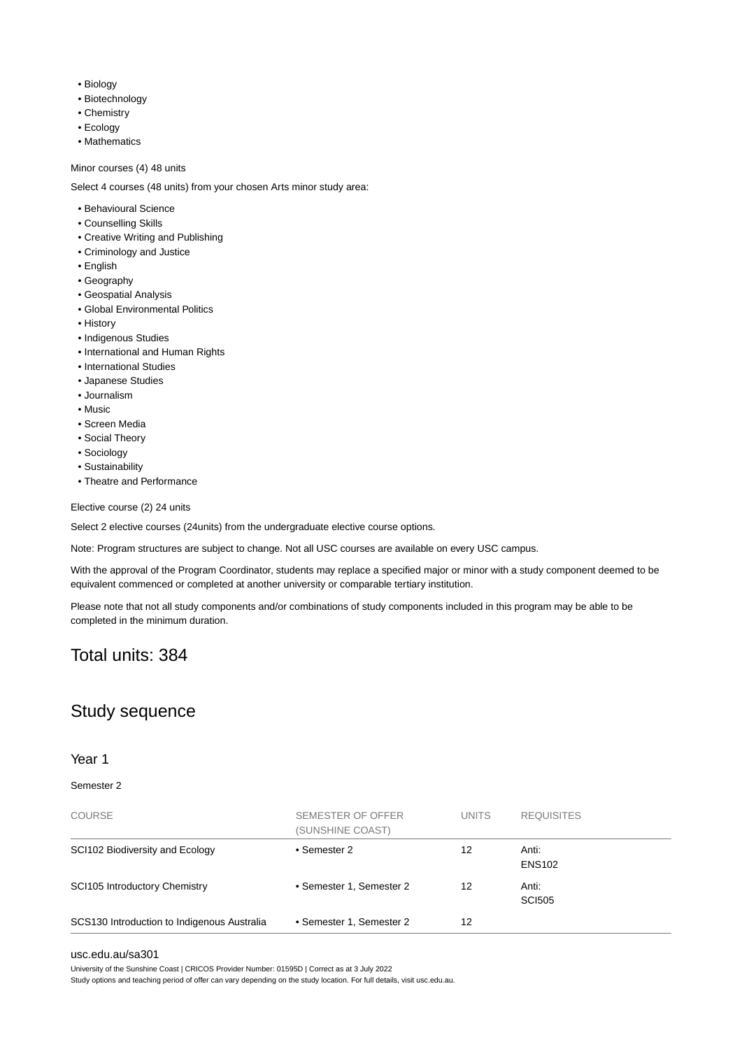- Biology
- Biotechnology
- Chemistry
- Ecology
- Mathematics

#### Minor courses (4) 48 units

Select 4 courses (48 units) from your chosen Arts minor study area:

- Behavioural Science
- Counselling Skills
- Creative Writing and Publishing
- Criminology and Justice
- English
- Geography
- Geospatial Analysis
- Global Environmental Politics
- History
- Indigenous Studies
- International and Human Rights
- International Studies
- Japanese Studies
- Journalism
- Music
- Screen Media
- Social Theory
- Sociology
- Sustainability
- Theatre and Performance

Elective course (2) 24 units

Select 2 elective courses (24units) from the undergraduate elective course options.

Note: Program structures are subject to change. Not all USC courses are available on every USC campus.

With the approval of the Program Coordinator, students may replace a specified major or minor with a study component deemed to be equivalent commenced or completed at another university or comparable tertiary institution.

Please note that not all study components and/or combinations of study components included in this program may be able to be completed in the minimum duration.

### Total units: 384

## Study sequence

#### Year 1

#### Semester 2

| <b>COURSE</b>                               | SEMESTER OF OFFER<br>(SUNSHINE COAST) | <b>UNITS</b> | <b>REQUISITES</b>      |
|---------------------------------------------|---------------------------------------|--------------|------------------------|
| SCI102 Biodiversity and Ecology             | • Semester 2                          | 12           | Anti:<br><b>ENS102</b> |
| <b>SCI105 Introductory Chemistry</b>        | • Semester 1, Semester 2              | 12           | Anti:<br><b>SCI505</b> |
| SCS130 Introduction to Indigenous Australia | • Semester 1, Semester 2              | 12           |                        |

#### [usc.edu.au/sa301](https://www.usc.edu.au/sa301)

University of the Sunshine Coast | CRICOS Provider Number: 01595D | Correct as at 3 July 2022

Study options and teaching period of offer can vary depending on the study location. For full details, visit usc.edu.au.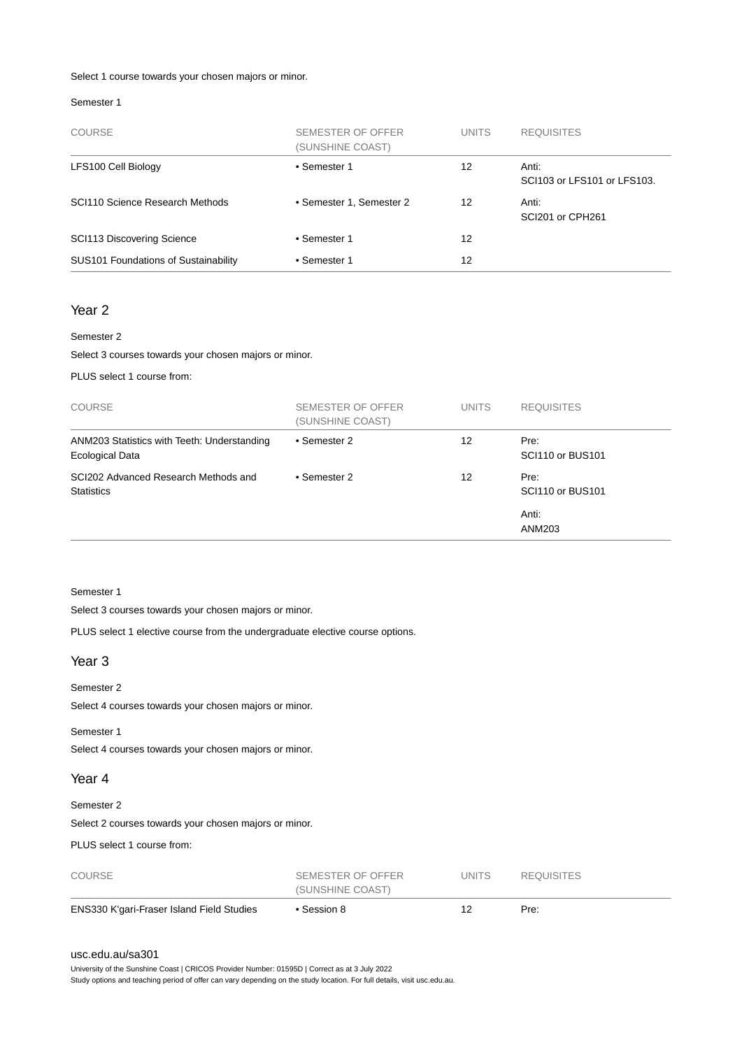#### Select 1 course towards your chosen majors or minor.

#### Semester 1

| <b>COURSE</b>                        | SEMESTER OF OFFER<br>(SUNSHINE COAST) | <b>UNITS</b> | <b>REQUISITES</b>                    |
|--------------------------------------|---------------------------------------|--------------|--------------------------------------|
| LFS100 Cell Biology                  | • Semester 1                          | 12           | Anti:<br>SCI103 or LFS101 or LFS103. |
| SCI110 Science Research Methods      | • Semester 1, Semester 2              | 12           | Anti:<br>SCI201 or CPH261            |
| <b>SCI113 Discovering Science</b>    | • Semester 1                          | 12           |                                      |
| SUS101 Foundations of Sustainability | • Semester 1                          | 12           |                                      |

#### Year 2

#### Semester 2

Select 3 courses towards your chosen majors or minor.

PLUS select 1 course from:

| <b>COURSE</b>                                                         | SEMESTER OF OFFER<br>(SUNSHINE COAST) | <b>UNITS</b> | <b>REQUISITES</b>        |
|-----------------------------------------------------------------------|---------------------------------------|--------------|--------------------------|
| ANM203 Statistics with Teeth: Understanding<br><b>Ecological Data</b> | • Semester 2                          | 12           | Pre:<br>SCI110 or BUS101 |
| SCI202 Advanced Research Methods and<br><b>Statistics</b>             | • Semester 2                          | 12           | Pre:<br>SCI110 or BUS101 |
|                                                                       |                                       |              | Anti:<br>ANM203          |

#### Semester 1

Select 3 courses towards your chosen majors or minor.

PLUS select 1 elective course from the undergraduate elective course options.

#### Year 3

#### Semester 2

Select 4 courses towards your chosen majors or minor.

Semester 1

Select 4 courses towards your chosen majors or minor.

#### Year 4

#### Semester 2

Select 2 courses towards your chosen majors or minor.

PLUS select 1 course from:

| ENS330 K'gari-Fraser Island Field Studies | • Session 8       | 12           | Pre:              |  |
|-------------------------------------------|-------------------|--------------|-------------------|--|
|                                           | (SUNSHINE COAST)  |              |                   |  |
| <b>COURSE</b>                             | SEMESTER OF OFFER | <b>UNITS</b> | <b>REQUISITES</b> |  |

#### [usc.edu.au/sa301](https://www.usc.edu.au/sa301)

University of the Sunshine Coast | CRICOS Provider Number: 01595D | Correct as at 3 July 2022 Study options and teaching period of offer can vary depending on the study location. For full details, visit usc.edu.au.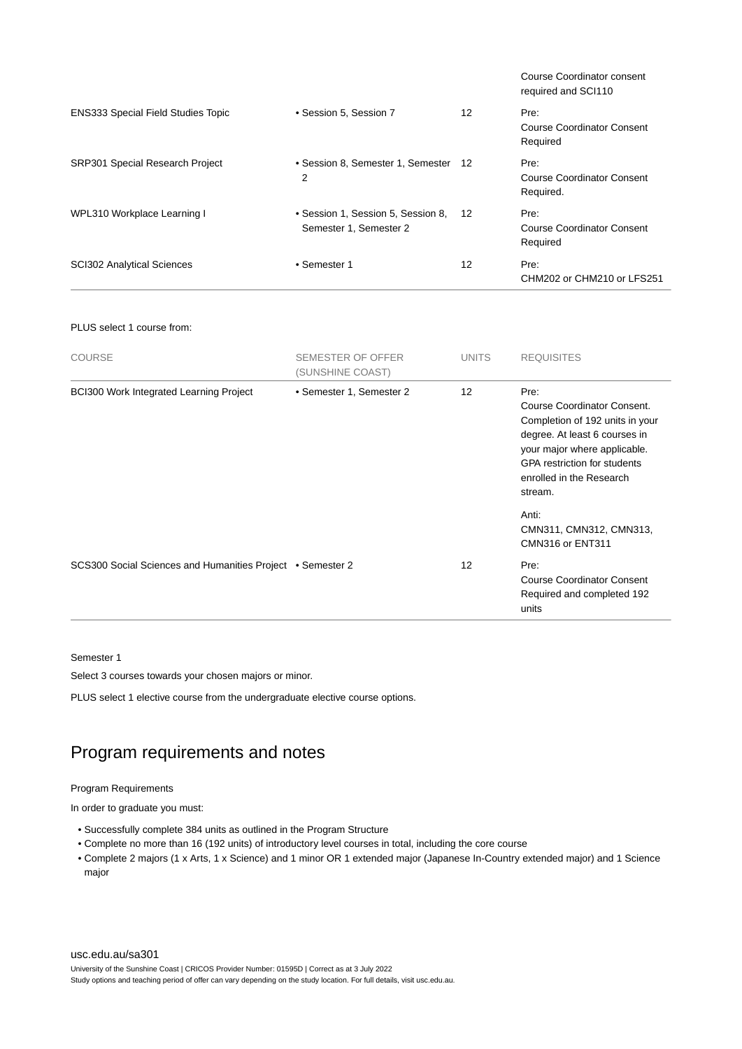|                                           |                                                              |     | Course Coordinator consent<br>required and SCI110 |
|-------------------------------------------|--------------------------------------------------------------|-----|---------------------------------------------------|
| <b>ENS333 Special Field Studies Topic</b> | • Session 5, Session 7                                       | 12  | Pre:<br>Course Coordinator Consent<br>Required    |
| <b>SRP301 Special Research Project</b>    | • Session 8, Semester 1, Semester<br>2                       | -12 | Pre:<br>Course Coordinator Consent<br>Required.   |
| WPL310 Workplace Learning I               | • Session 1, Session 5, Session 8,<br>Semester 1, Semester 2 | 12  | Pre:<br>Course Coordinator Consent<br>Required    |
| <b>SCI302 Analytical Sciences</b>         | • Semester 1                                                 | 12  | Pre:<br>CHM202 or CHM210 or LFS251                |

#### PLUS select 1 course from:

| <b>COURSE</b>                                              | SEMESTER OF OFFER<br>(SUNSHINE COAST) | <b>UNITS</b> | <b>REQUISITES</b>                                                                                                                                                                                                            |
|------------------------------------------------------------|---------------------------------------|--------------|------------------------------------------------------------------------------------------------------------------------------------------------------------------------------------------------------------------------------|
| <b>BCI300 Work Integrated Learning Project</b>             | • Semester 1, Semester 2              | 12           | Pre:<br><b>Course Coordinator Consent.</b><br>Completion of 192 units in your<br>degree. At least 6 courses in<br>your major where applicable.<br><b>GPA</b> restriction for students<br>enrolled in the Research<br>stream. |
|                                                            |                                       |              | Anti:<br>CMN311, CMN312, CMN313,<br>CMN316 or ENT311                                                                                                                                                                         |
| SCS300 Social Sciences and Humanities Project • Semester 2 |                                       | 12           | Pre:<br><b>Course Coordinator Consent</b><br>Required and completed 192<br>units                                                                                                                                             |

#### Semester 1

Select 3 courses towards your chosen majors or minor.

PLUS select 1 elective course from the undergraduate elective course options.

## Program requirements and notes

#### Program Requirements

In order to graduate you must:

- Successfully complete 384 units as outlined in the Program Structure
- Complete no more than 16 (192 units) of introductory level courses in total, including the core course
- Complete 2 majors (1 x Arts, 1 x Science) and 1 minor OR 1 extended major (Japanese In-Country extended major) and 1 Science major